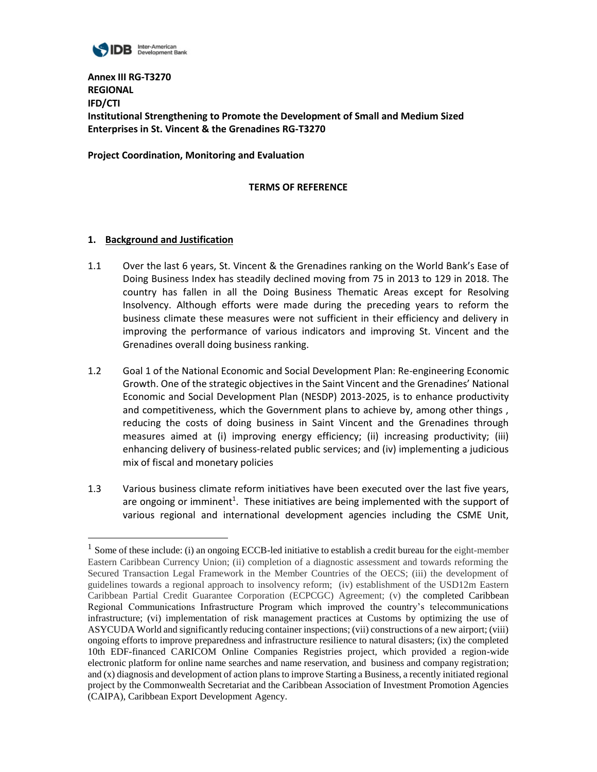

**Annex III RG-T3270 REGIONAL IFD/CTI Institutional Strengthening to Promote the Development of Small and Medium Sized Enterprises in St. Vincent & the Grenadines RG-T3270**

**Project Coordination, Monitoring and Evaluation**

### **TERMS OF REFERENCE**

### **1. Background and Justification**

 $\overline{\phantom{0}}$ 

- 1.1 Over the last 6 years, St. Vincent & the Grenadines ranking on the World Bank's Ease of Doing Business Index has steadily declined moving from 75 in 2013 to 129 in 2018. The country has fallen in all the Doing Business Thematic Areas except for Resolving Insolvency. Although efforts were made during the preceding years to reform the business climate these measures were not sufficient in their efficiency and delivery in improving the performance of various indicators and improving St. Vincent and the Grenadines overall doing business ranking.
- 1.2 Goal 1 of the National Economic and Social Development Plan: Re-engineering Economic Growth. One of the strategic objectives in the Saint Vincent and the Grenadines' National Economic and Social Development Plan (NESDP) 2013-2025, is to enhance productivity and competitiveness, which the Government plans to achieve by, among other things , reducing the costs of doing business in Saint Vincent and the Grenadines through measures aimed at (i) improving energy efficiency; (ii) increasing productivity; (iii) enhancing delivery of business-related public services; and (iv) implementing a judicious mix of fiscal and monetary policies
- 1.3 Various business climate reform initiatives have been executed over the last five years, are ongoing or imminent<sup>1</sup>. These initiatives are being implemented with the support of various regional and international development agencies including the CSME Unit,

<sup>&</sup>lt;sup>1</sup> Some of these include: (i) an ongoing ECCB-led initiative to establish a credit bureau for the eight-member Eastern Caribbean Currency Union; (ii) completion of a diagnostic assessment and towards reforming the Secured Transaction Legal Framework in the Member Countries of the OECS; (iii) the development of guidelines towards a regional approach to insolvency reform; (iv) establishment of the USD12m Eastern Caribbean Partial Credit Guarantee Corporation (ECPCGC) Agreement; (v) the completed Caribbean Regional Communications Infrastructure Program which improved the country's telecommunications infrastructure; (vi) implementation of risk management practices at Customs by optimizing the use of ASYCUDA World and significantly reducing container inspections; (vii) constructions of a new airport; (viii) ongoing efforts to improve preparedness and infrastructure resilience to natural disasters; (ix) the completed 10th EDF-financed CARICOM Online Companies Registries project, which provided a region-wide electronic platform for online name searches and name reservation, and business and company registration; and (x) diagnosis and development of action plans to improve Starting a Business, a recently initiated regional project by the Commonwealth Secretariat and the Caribbean Association of Investment Promotion Agencies (CAIPA), Caribbean Export Development Agency.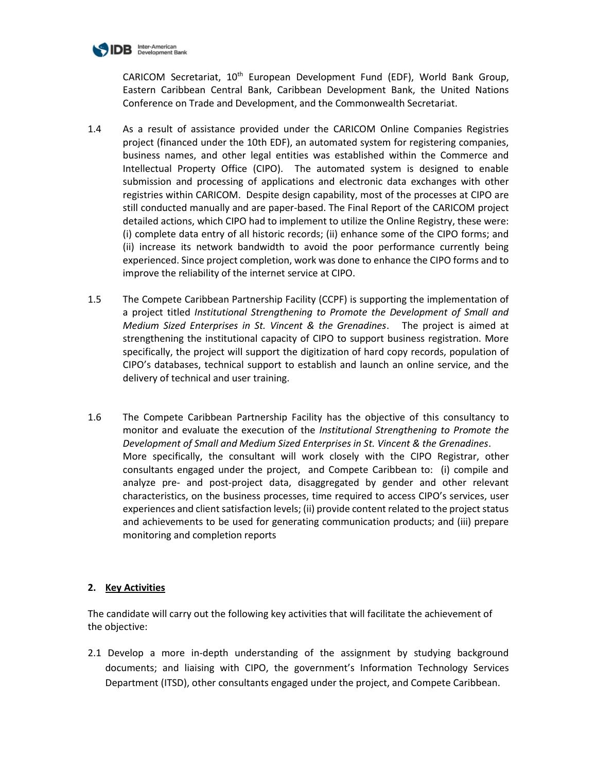

CARICOM Secretariat, 10<sup>th</sup> European Development Fund (EDF), World Bank Group, Eastern Caribbean Central Bank, Caribbean Development Bank, the United Nations Conference on Trade and Development, and the Commonwealth Secretariat.

- 1.4 As a result of assistance provided under the CARICOM Online Companies Registries project (financed under the 10th EDF), an automated system for registering companies, business names, and other legal entities was established within the Commerce and Intellectual Property Office (CIPO). The automated system is designed to enable submission and processing of applications and electronic data exchanges with other registries within CARICOM. Despite design capability, most of the processes at CIPO are still conducted manually and are paper-based. The Final Report of the CARICOM project detailed actions, which CIPO had to implement to utilize the Online Registry, these were: (i) complete data entry of all historic records; (ii) enhance some of the CIPO forms; and (ii) increase its network bandwidth to avoid the poor performance currently being experienced. Since project completion, work was done to enhance the CIPO forms and to improve the reliability of the internet service at CIPO.
- 1.5 The Compete Caribbean Partnership Facility (CCPF) is supporting the implementation of a project titled *Institutional Strengthening to Promote the Development of Small and Medium Sized Enterprises in St. Vincent & the Grenadines*. The project is aimed at strengthening the institutional capacity of CIPO to support business registration. More specifically, the project will support the digitization of hard copy records, population of CIPO's databases, technical support to establish and launch an online service, and the delivery of technical and user training.
- 1.6 The Compete Caribbean Partnership Facility has the objective of this consultancy to monitor and evaluate the execution of the *Institutional Strengthening to Promote the Development of Small and Medium Sized Enterprises in St. Vincent & the Grenadines*. More specifically, the consultant will work closely with the CIPO Registrar, other consultants engaged under the project, and Compete Caribbean to: (i) compile and analyze pre- and post-project data, disaggregated by gender and other relevant characteristics, on the business processes, time required to access CIPO's services, user experiences and client satisfaction levels; (ii) provide content related to the project status and achievements to be used for generating communication products; and (iii) prepare monitoring and completion reports

## **2. Key Activities**

The candidate will carry out the following key activities that will facilitate the achievement of the objective:

2.1 Develop a more in-depth understanding of the assignment by studying background documents; and liaising with CIPO, the government's Information Technology Services Department (ITSD), other consultants engaged under the project, and Compete Caribbean.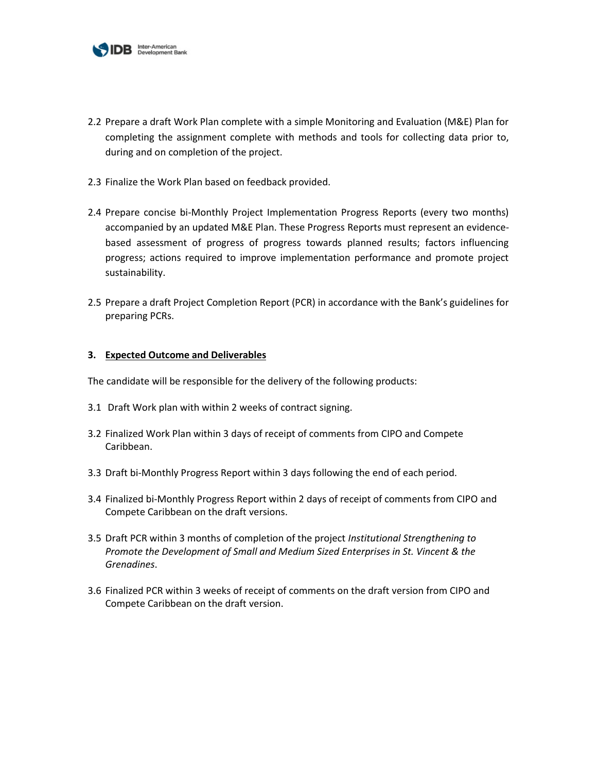

- 2.2 Prepare a draft Work Plan complete with a simple Monitoring and Evaluation (M&E) Plan for completing the assignment complete with methods and tools for collecting data prior to, during and on completion of the project.
- 2.3 Finalize the Work Plan based on feedback provided.
- 2.4 Prepare concise bi-Monthly Project Implementation Progress Reports (every two months) accompanied by an updated M&E Plan. These Progress Reports must represent an evidencebased assessment of progress of progress towards planned results; factors influencing progress; actions required to improve implementation performance and promote project sustainability.
- 2.5 Prepare a draft Project Completion Report (PCR) in accordance with the Bank's guidelines for preparing PCRs.

### **3. Expected Outcome and Deliverables**

The candidate will be responsible for the delivery of the following products:

- 3.1 Draft Work plan with within 2 weeks of contract signing.
- 3.2 Finalized Work Plan within 3 days of receipt of comments from CIPO and Compete Caribbean.
- 3.3 Draft bi-Monthly Progress Report within 3 days following the end of each period.
- 3.4 Finalized bi-Monthly Progress Report within 2 days of receipt of comments from CIPO and Compete Caribbean on the draft versions.
- 3.5 Draft PCR within 3 months of completion of the project *Institutional Strengthening to Promote the Development of Small and Medium Sized Enterprises in St. Vincent & the Grenadines*.
- 3.6 Finalized PCR within 3 weeks of receipt of comments on the draft version from CIPO and Compete Caribbean on the draft version.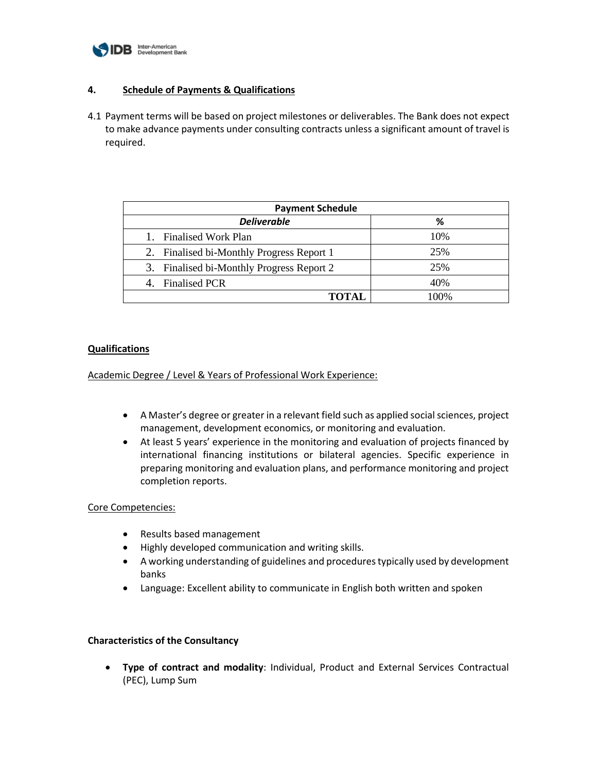

## **4. Schedule of Payments & Qualifications**

4.1 Payment terms will be based on project milestones or deliverables. The Bank does not expect to make advance payments under consulting contracts unless a significant amount of travel is required.

| <b>Payment Schedule</b>                   |     |  |
|-------------------------------------------|-----|--|
| <b>Deliverable</b>                        | ℅   |  |
| 1. Finalised Work Plan                    | 10% |  |
| 2. Finalised bi-Monthly Progress Report 1 | 25% |  |
| 3. Finalised bi-Monthly Progress Report 2 | 25% |  |
| 4. Finalised PCR                          | 40% |  |
| <b>TOTAL</b>                              | በበ% |  |

### **Qualifications**

Academic Degree / Level & Years of Professional Work Experience:

- A Master's degree or greater in a relevant field such as applied social sciences, project management, development economics, or monitoring and evaluation.
- At least 5 years' experience in the monitoring and evaluation of projects financed by international financing institutions or bilateral agencies. Specific experience in preparing monitoring and evaluation plans, and performance monitoring and project completion reports.

#### Core Competencies:

- Results based management
- Highly developed communication and writing skills.
- A working understanding of guidelines and procedures typically used by development banks
- Language: Excellent ability to communicate in English both written and spoken

#### **Characteristics of the Consultancy**

• **Type of contract and modality**: Individual, Product and External Services Contractual (PEC), Lump Sum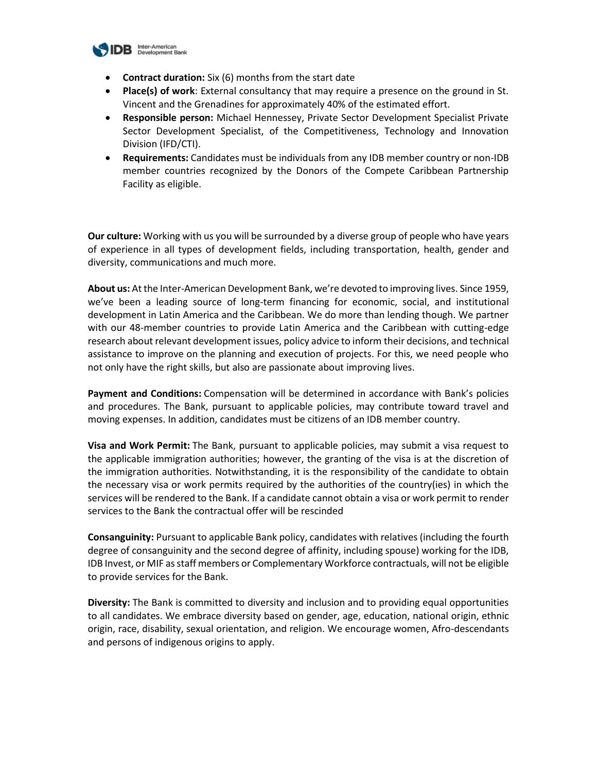

- **Contract duration:** Six (6) months from the start date
- **Place(s) of work**: External consultancy that may require a presence on the ground in St. Vincent and the Grenadines for approximately 40% of the estimated effort.
- **Responsible person:** Michael Hennessey, Private Sector Development Specialist Private Sector Development Specialist, of the Competitiveness, Technology and Innovation Division (IFD/CTI).
- **Requirements:** Candidates must be individuals from any IDB member country or non-IDB member countries recognized by the Donors of the Compete Caribbean Partnership Facility as eligible.

**Our culture:** Working with us you will be surrounded by a diverse group of people who have years of experience in all types of development fields, including transportation, health, gender and diversity, communications and much more.

**About us:** At the Inter-American Development Bank, we're devoted to improving lives. Since 1959, we've been a leading source of long-term financing for economic, social, and institutional development in Latin America and the Caribbean. We do more than lending though. We partner with our 48-member countries to provide Latin America and the Caribbean with cutting-edge research about relevant development issues, policy advice to inform their decisions, and technical assistance to improve on the planning and execution of projects. For this, we need people who not only have the right skills, but also are passionate about improving lives.

**Payment and Conditions:** Compensation will be determined in accordance with Bank's policies and procedures. The Bank, pursuant to applicable policies, may contribute toward travel and moving expenses. In addition, candidates must be citizens of an IDB member country.

**Visa and Work Permit:** The Bank, pursuant to applicable policies, may submit a visa request to the applicable immigration authorities; however, the granting of the visa is at the discretion of the immigration authorities. Notwithstanding, it is the responsibility of the candidate to obtain the necessary visa or work permits required by the authorities of the country(ies) in which the services will be rendered to the Bank. If a candidate cannot obtain a visa or work permit to render services to the Bank the contractual offer will be rescinded

**Consanguinity:** Pursuant to applicable Bank policy, candidates with relatives (including the fourth degree of consanguinity and the second degree of affinity, including spouse) working for the IDB, IDB Invest, or MIF as staff members or Complementary Workforce contractuals, will not be eligible to provide services for the Bank.

**Diversity:** The Bank is committed to diversity and inclusion and to providing equal opportunities to all candidates. We embrace diversity based on gender, age, education, national origin, ethnic origin, race, disability, sexual orientation, and religion. We encourage women, Afro-descendants and persons of indigenous origins to apply.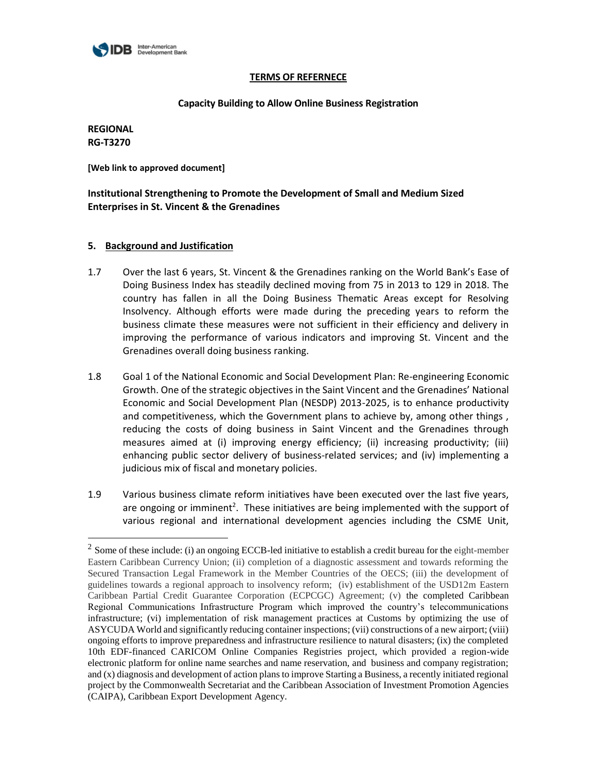

### **TERMS OF REFERNECE**

### **Capacity Building to Allow Online Business Registration**

**REGIONAL RG-T3270**

 $\overline{\phantom{0}}$ 

**[Web link to approved document]**

# **Institutional Strengthening to Promote the Development of Small and Medium Sized Enterprises in St. Vincent & the Grenadines**

### **5. Background and Justification**

- 1.7 Over the last 6 years, St. Vincent & the Grenadines ranking on the World Bank's Ease of Doing Business Index has steadily declined moving from 75 in 2013 to 129 in 2018. The country has fallen in all the Doing Business Thematic Areas except for Resolving Insolvency. Although efforts were made during the preceding years to reform the business climate these measures were not sufficient in their efficiency and delivery in improving the performance of various indicators and improving St. Vincent and the Grenadines overall doing business ranking.
- 1.8 Goal 1 of the National Economic and Social Development Plan: Re-engineering Economic Growth. One of the strategic objectives in the Saint Vincent and the Grenadines' National Economic and Social Development Plan (NESDP) 2013-2025, is to enhance productivity and competitiveness, which the Government plans to achieve by, among other things , reducing the costs of doing business in Saint Vincent and the Grenadines through measures aimed at (i) improving energy efficiency; (ii) increasing productivity; (iii) enhancing public sector delivery of business-related services; and (iv) implementing a judicious mix of fiscal and monetary policies.
- 1.9 Various business climate reform initiatives have been executed over the last five years, are ongoing or imminent<sup>2</sup>. These initiatives are being implemented with the support of various regional and international development agencies including the CSME Unit,

<sup>&</sup>lt;sup>2</sup> Some of these include: (i) an ongoing ECCB-led initiative to establish a credit bureau for the eight-member Eastern Caribbean Currency Union; (ii) completion of a diagnostic assessment and towards reforming the Secured Transaction Legal Framework in the Member Countries of the OECS; (iii) the development of guidelines towards a regional approach to insolvency reform; (iv) establishment of the USD12m Eastern Caribbean Partial Credit Guarantee Corporation (ECPCGC) Agreement; (v) the completed Caribbean Regional Communications Infrastructure Program which improved the country's telecommunications infrastructure; (vi) implementation of risk management practices at Customs by optimizing the use of ASYCUDA World and significantly reducing container inspections; (vii) constructions of a new airport; (viii) ongoing efforts to improve preparedness and infrastructure resilience to natural disasters; (ix) the completed 10th EDF-financed CARICOM Online Companies Registries project, which provided a region-wide electronic platform for online name searches and name reservation, and business and company registration; and (x) diagnosis and development of action plans to improve Starting a Business, a recently initiated regional project by the Commonwealth Secretariat and the Caribbean Association of Investment Promotion Agencies (CAIPA), Caribbean Export Development Agency.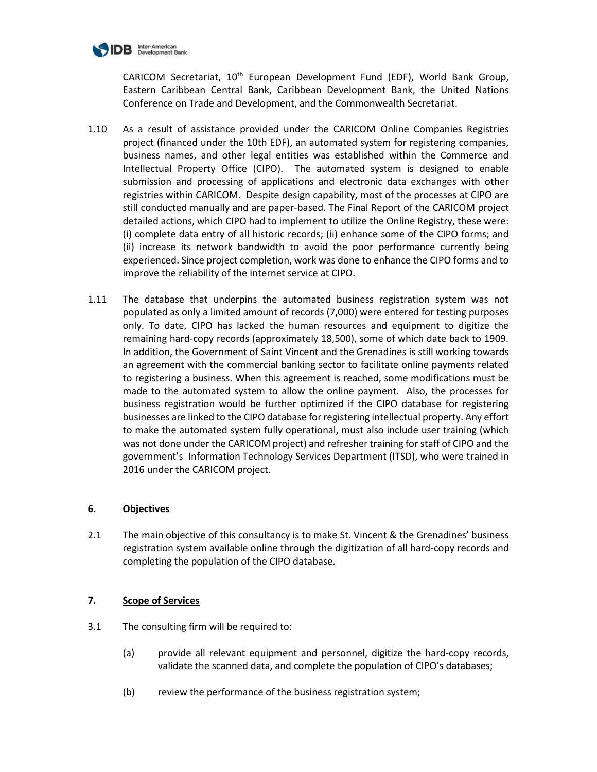

CARICOM Secretariat, 10th European Development Fund (EDF), World Bank Group, Eastern Caribbean Central Bank, Caribbean Development Bank, the United Nations Conference on Trade and Development, and the Commonwealth Secretariat.

- 1.10 As a result of assistance provided under the CARICOM Online Companies Registries project (financed under the 10th EDF), an automated system for registering companies, business names, and other legal entities was established within the Commerce and Intellectual Property Office (CIPO). The automated system is designed to enable submission and processing of applications and electronic data exchanges with other registries within CARICOM. Despite design capability, most of the processes at CIPO are still conducted manually and are paper-based. The Final Report of the CARICOM project detailed actions, which CIPO had to implement to utilize the Online Registry, these were: (i) complete data entry of all historic records; (ii) enhance some of the CIPO forms; and (ii) increase its network bandwidth to avoid the poor performance currently being experienced. Since project completion, work was done to enhance the CIPO forms and to improve the reliability of the internet service at CIPO.
- 1.11 The database that underpins the automated business registration system was not populated as only a limited amount of records (7,000) were entered for testing purposes only. To date, CIPO has lacked the human resources and equipment to digitize the remaining hard-copy records (approximately 18,500), some of which date back to 1909. In addition, the Government of Saint Vincent and the Grenadines is still working towards an agreement with the commercial banking sector to facilitate online payments related to registering a business. When this agreement is reached, some modifications must be made to the automated system to allow the online payment. Also, the processes for business registration would be further optimized if the CIPO database for registering businesses are linked to the CIPO database for registering intellectual property. Any effort to make the automated system fully operational, must also include user training (which was not done under the CARICOM project) and refresher training for staff of CIPO and the government's Information Technology Services Department (ITSD), who were trained in 2016 under the CARICOM project.

## **6. Objectives**

2.1 The main objective of this consultancy is to make St. Vincent & the Grenadines' business registration system available online through the digitization of all hard-copy records and completing the population of the CIPO database.

## **7. Scope of Services**

- 3.1 The consulting firm will be required to:
	- (a) provide all relevant equipment and personnel, digitize the hard-copy records, validate the scanned data, and complete the population of CIPO's databases;
	- (b) review the performance of the business registration system;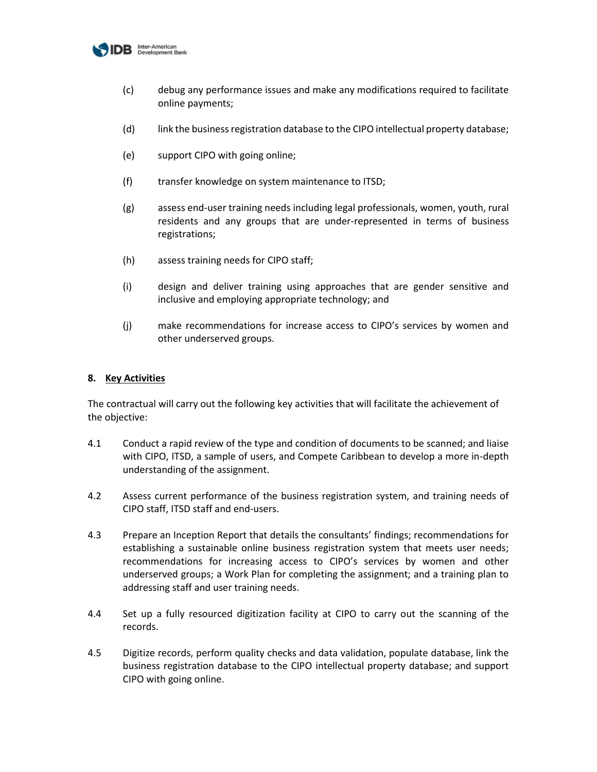

- (c) debug any performance issues and make any modifications required to facilitate online payments;
- (d) link the business registration database to the CIPO intellectual property database;
- (e) support CIPO with going online;
- (f) transfer knowledge on system maintenance to ITSD;
- (g) assess end-user training needs including legal professionals, women, youth, rural residents and any groups that are under-represented in terms of business registrations;
- (h) assess training needs for CIPO staff;
- (i) design and deliver training using approaches that are gender sensitive and inclusive and employing appropriate technology; and
- (j) make recommendations for increase access to CIPO's services by women and other underserved groups.

#### **8. Key Activities**

The contractual will carry out the following key activities that will facilitate the achievement of the objective:

- 4.1 Conduct a rapid review of the type and condition of documents to be scanned; and liaise with CIPO, ITSD, a sample of users, and Compete Caribbean to develop a more in-depth understanding of the assignment.
- 4.2 Assess current performance of the business registration system, and training needs of CIPO staff, ITSD staff and end-users.
- 4.3 Prepare an Inception Report that details the consultants' findings; recommendations for establishing a sustainable online business registration system that meets user needs; recommendations for increasing access to CIPO's services by women and other underserved groups; a Work Plan for completing the assignment; and a training plan to addressing staff and user training needs.
- 4.4 Set up a fully resourced digitization facility at CIPO to carry out the scanning of the records.
- 4.5 Digitize records, perform quality checks and data validation, populate database, link the business registration database to the CIPO intellectual property database; and support CIPO with going online.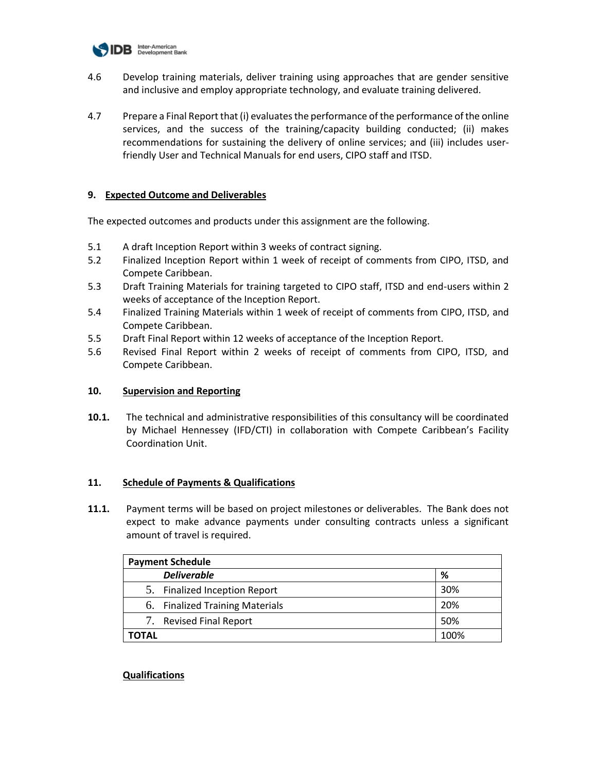

- 4.6 Develop training materials, deliver training using approaches that are gender sensitive and inclusive and employ appropriate technology, and evaluate training delivered.
- 4.7 Prepare a Final Report that (i) evaluates the performance of the performance of the online services, and the success of the training/capacity building conducted; (ii) makes recommendations for sustaining the delivery of online services; and (iii) includes userfriendly User and Technical Manuals for end users, CIPO staff and ITSD.

### **9. Expected Outcome and Deliverables**

The expected outcomes and products under this assignment are the following.

- 5.1 A draft Inception Report within 3 weeks of contract signing.
- 5.2 Finalized Inception Report within 1 week of receipt of comments from CIPO, ITSD, and Compete Caribbean.
- 5.3 Draft Training Materials for training targeted to CIPO staff, ITSD and end-users within 2 weeks of acceptance of the Inception Report.
- 5.4 Finalized Training Materials within 1 week of receipt of comments from CIPO, ITSD, and Compete Caribbean.
- 5.5 Draft Final Report within 12 weeks of acceptance of the Inception Report.
- 5.6 Revised Final Report within 2 weeks of receipt of comments from CIPO, ITSD, and Compete Caribbean.

### **10. Supervision and Reporting**

**10.1.** The technical and administrative responsibilities of this consultancy will be coordinated by Michael Hennessey (IFD/CTI) in collaboration with Compete Caribbean's Facility Coordination Unit.

#### **11. Schedule of Payments & Qualifications**

**11.1.** Payment terms will be based on project milestones or deliverables. The Bank does not expect to make advance payments under consulting contracts unless a significant amount of travel is required.

| <b>Payment Schedule</b> |                                 |      |  |
|-------------------------|---------------------------------|------|--|
|                         | <b>Deliverable</b>              | %    |  |
|                         | 5. Finalized Inception Report   | 30%  |  |
|                         | 6. Finalized Training Materials | 20%  |  |
|                         | 7. Revised Final Report         | 50%  |  |
| TOTAL                   |                                 | 100% |  |

#### **Qualifications**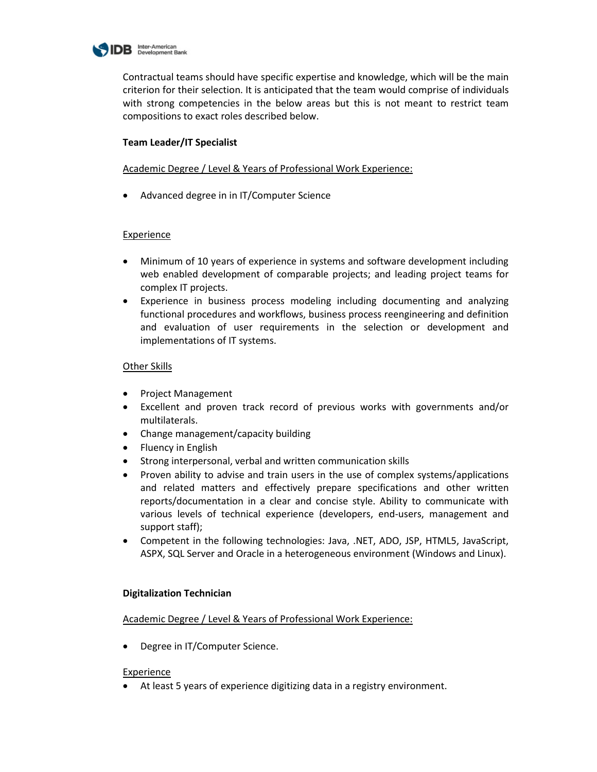

Contractual teams should have specific expertise and knowledge, which will be the main criterion for their selection. It is anticipated that the team would comprise of individuals with strong competencies in the below areas but this is not meant to restrict team compositions to exact roles described below.

## **Team Leader/IT Specialist**

## Academic Degree / Level & Years of Professional Work Experience:

• Advanced degree in in IT/Computer Science

## **Experience**

- Minimum of 10 years of experience in systems and software development including web enabled development of comparable projects; and leading project teams for complex IT projects.
- Experience in business process modeling including documenting and analyzing functional procedures and workflows, business process reengineering and definition and evaluation of user requirements in the selection or development and implementations of IT systems.

### Other Skills

- Project Management
- Excellent and proven track record of previous works with governments and/or multilaterals.
- Change management/capacity building
- Fluency in English
- Strong interpersonal, verbal and written communication skills
- Proven ability to advise and train users in the use of complex systems/applications and related matters and effectively prepare specifications and other written reports/documentation in a clear and concise style. Ability to communicate with various levels of technical experience (developers, end-users, management and support staff);
- Competent in the following technologies: Java, .NET, ADO, JSP, HTML5, JavaScript, ASPX, SQL Server and Oracle in a heterogeneous environment (Windows and Linux).

## **Digitalization Technician**

Academic Degree / Level & Years of Professional Work Experience:

• Degree in IT/Computer Science.

## Experience

At least 5 years of experience digitizing data in a registry environment.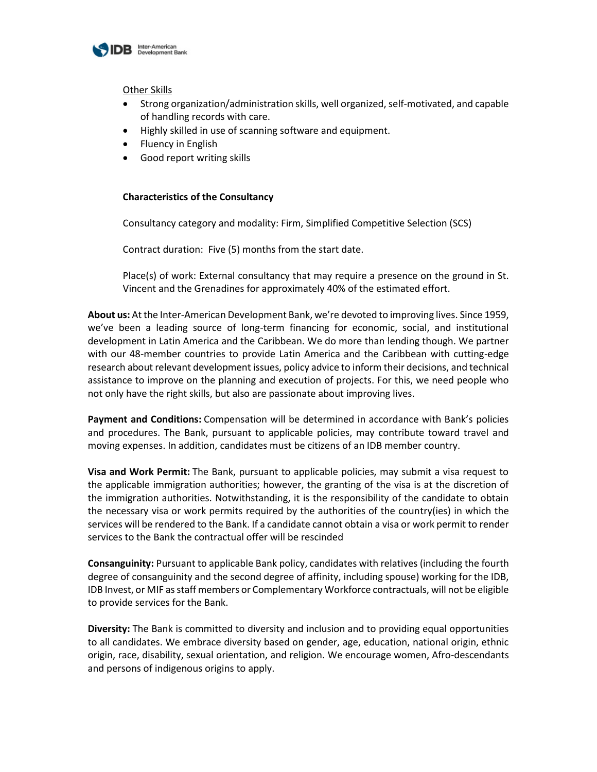

Other Skills

- Strong organization/administration skills, well organized, self-motivated, and capable of handling records with care.
- Highly skilled in use of scanning software and equipment.
- Fluency in English
- Good report writing skills

## **Characteristics of the Consultancy**

Consultancy category and modality: Firm, Simplified Competitive Selection (SCS)

Contract duration: Five (5) months from the start date.

Place(s) of work: External consultancy that may require a presence on the ground in St. Vincent and the Grenadines for approximately 40% of the estimated effort.

**About us:** At the Inter-American Development Bank, we're devoted to improving lives. Since 1959, we've been a leading source of long-term financing for economic, social, and institutional development in Latin America and the Caribbean. We do more than lending though. We partner with our 48-member countries to provide Latin America and the Caribbean with cutting-edge research about relevant development issues, policy advice to inform their decisions, and technical assistance to improve on the planning and execution of projects. For this, we need people who not only have the right skills, but also are passionate about improving lives.

**Payment and Conditions:** Compensation will be determined in accordance with Bank's policies and procedures. The Bank, pursuant to applicable policies, may contribute toward travel and moving expenses. In addition, candidates must be citizens of an IDB member country.

**Visa and Work Permit:** The Bank, pursuant to applicable policies, may submit a visa request to the applicable immigration authorities; however, the granting of the visa is at the discretion of the immigration authorities. Notwithstanding, it is the responsibility of the candidate to obtain the necessary visa or work permits required by the authorities of the country(ies) in which the services will be rendered to the Bank. If a candidate cannot obtain a visa or work permit to render services to the Bank the contractual offer will be rescinded

**Consanguinity:** Pursuant to applicable Bank policy, candidates with relatives (including the fourth degree of consanguinity and the second degree of affinity, including spouse) working for the IDB, IDB Invest, or MIF as staff members or Complementary Workforce contractuals, will not be eligible to provide services for the Bank.

**Diversity:** The Bank is committed to diversity and inclusion and to providing equal opportunities to all candidates. We embrace diversity based on gender, age, education, national origin, ethnic origin, race, disability, sexual orientation, and religion. We encourage women, Afro-descendants and persons of indigenous origins to apply.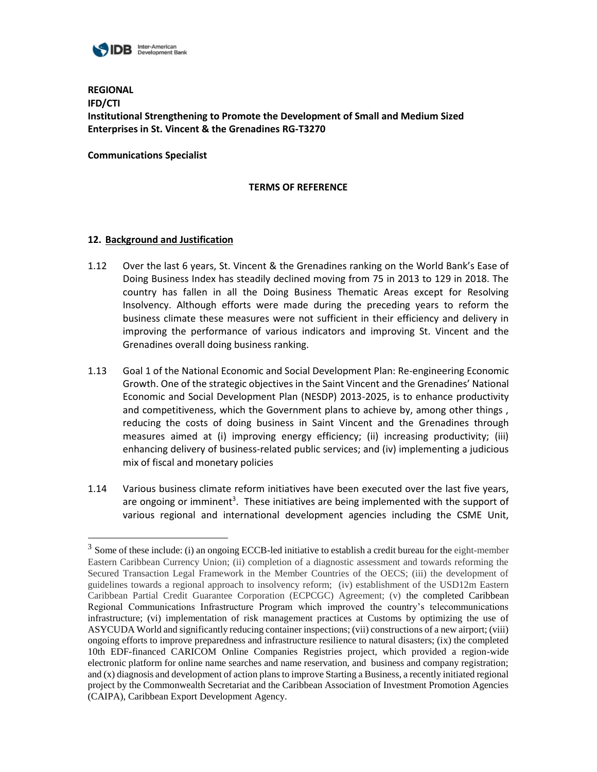

**REGIONAL IFD/CTI Institutional Strengthening to Promote the Development of Small and Medium Sized Enterprises in St. Vincent & the Grenadines RG-T3270**

**Communications Specialist**

### **TERMS OF REFERENCE**

### **12. Background and Justification**

 $\overline{\phantom{0}}$ 

- 1.12 Over the last 6 years, St. Vincent & the Grenadines ranking on the World Bank's Ease of Doing Business Index has steadily declined moving from 75 in 2013 to 129 in 2018. The country has fallen in all the Doing Business Thematic Areas except for Resolving Insolvency. Although efforts were made during the preceding years to reform the business climate these measures were not sufficient in their efficiency and delivery in improving the performance of various indicators and improving St. Vincent and the Grenadines overall doing business ranking.
- 1.13 Goal 1 of the National Economic and Social Development Plan: Re-engineering Economic Growth. One of the strategic objectives in the Saint Vincent and the Grenadines' National Economic and Social Development Plan (NESDP) 2013-2025, is to enhance productivity and competitiveness, which the Government plans to achieve by, among other things , reducing the costs of doing business in Saint Vincent and the Grenadines through measures aimed at (i) improving energy efficiency; (ii) increasing productivity; (iii) enhancing delivery of business-related public services; and (iv) implementing a judicious mix of fiscal and monetary policies
- 1.14 Various business climate reform initiatives have been executed over the last five years, are ongoing or imminent<sup>3</sup>. These initiatives are being implemented with the support of various regional and international development agencies including the CSME Unit,

 $3$  Some of these include: (i) an ongoing ECCB-led initiative to establish a credit bureau for the eight-member Eastern Caribbean Currency Union; (ii) completion of a diagnostic assessment and towards reforming the Secured Transaction Legal Framework in the Member Countries of the OECS; (iii) the development of guidelines towards a regional approach to insolvency reform; (iv) establishment of the USD12m Eastern Caribbean Partial Credit Guarantee Corporation (ECPCGC) Agreement; (v) the completed Caribbean Regional Communications Infrastructure Program which improved the country's telecommunications infrastructure; (vi) implementation of risk management practices at Customs by optimizing the use of ASYCUDA World and significantly reducing container inspections; (vii) constructions of a new airport; (viii) ongoing efforts to improve preparedness and infrastructure resilience to natural disasters; (ix) the completed 10th EDF-financed CARICOM Online Companies Registries project, which provided a region-wide electronic platform for online name searches and name reservation, and business and company registration; and (x) diagnosis and development of action plans to improve Starting a Business, a recently initiated regional project by the Commonwealth Secretariat and the Caribbean Association of Investment Promotion Agencies (CAIPA), Caribbean Export Development Agency.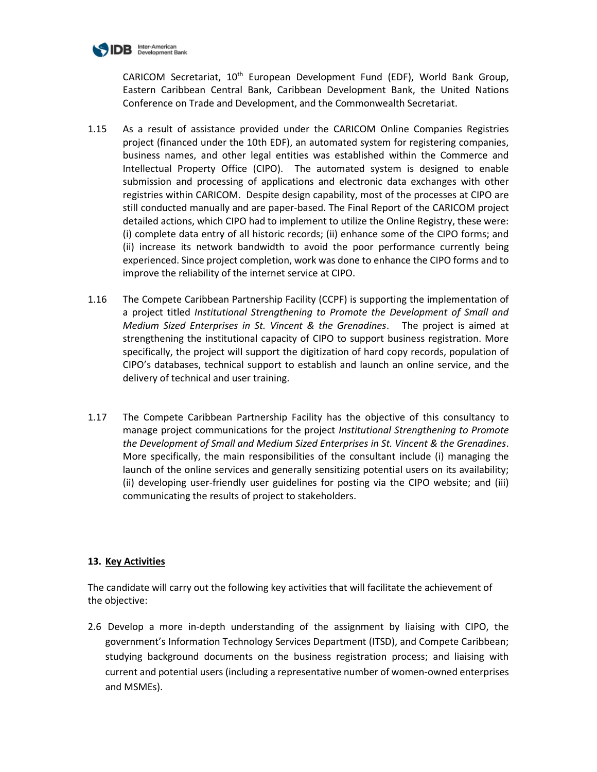

CARICOM Secretariat, 10<sup>th</sup> European Development Fund (EDF), World Bank Group, Eastern Caribbean Central Bank, Caribbean Development Bank, the United Nations Conference on Trade and Development, and the Commonwealth Secretariat.

- 1.15 As a result of assistance provided under the CARICOM Online Companies Registries project (financed under the 10th EDF), an automated system for registering companies, business names, and other legal entities was established within the Commerce and Intellectual Property Office (CIPO). The automated system is designed to enable submission and processing of applications and electronic data exchanges with other registries within CARICOM. Despite design capability, most of the processes at CIPO are still conducted manually and are paper-based. The Final Report of the CARICOM project detailed actions, which CIPO had to implement to utilize the Online Registry, these were: (i) complete data entry of all historic records; (ii) enhance some of the CIPO forms; and (ii) increase its network bandwidth to avoid the poor performance currently being experienced. Since project completion, work was done to enhance the CIPO forms and to improve the reliability of the internet service at CIPO.
- 1.16 The Compete Caribbean Partnership Facility (CCPF) is supporting the implementation of a project titled *Institutional Strengthening to Promote the Development of Small and Medium Sized Enterprises in St. Vincent & the Grenadines*. The project is aimed at strengthening the institutional capacity of CIPO to support business registration. More specifically, the project will support the digitization of hard copy records, population of CIPO's databases, technical support to establish and launch an online service, and the delivery of technical and user training.
- 1.17 The Compete Caribbean Partnership Facility has the objective of this consultancy to manage project communications for the project *Institutional Strengthening to Promote the Development of Small and Medium Sized Enterprises in St. Vincent & the Grenadines*. More specifically, the main responsibilities of the consultant include (i) managing the launch of the online services and generally sensitizing potential users on its availability; (ii) developing user-friendly user guidelines for posting via the CIPO website; and (iii) communicating the results of project to stakeholders.

## **13. Key Activities**

The candidate will carry out the following key activities that will facilitate the achievement of the objective:

2.6 Develop a more in-depth understanding of the assignment by liaising with CIPO, the government's Information Technology Services Department (ITSD), and Compete Caribbean; studying background documents on the business registration process; and liaising with current and potential users (including a representative number of women-owned enterprises and MSMEs).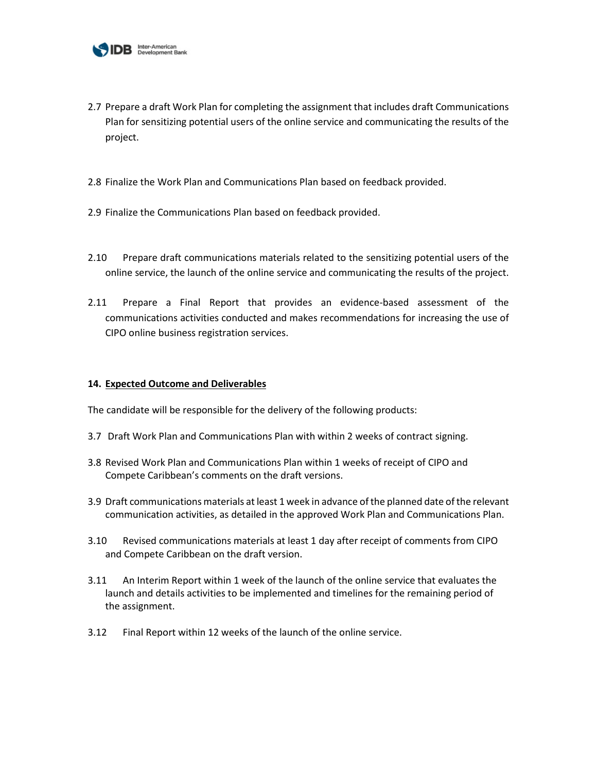

- 2.7 Prepare a draft Work Plan for completing the assignment that includes draft Communications Plan for sensitizing potential users of the online service and communicating the results of the project.
- 2.8 Finalize the Work Plan and Communications Plan based on feedback provided.
- 2.9 Finalize the Communications Plan based on feedback provided.
- 2.10 Prepare draft communications materials related to the sensitizing potential users of the online service, the launch of the online service and communicating the results of the project.
- 2.11 Prepare a Final Report that provides an evidence-based assessment of the communications activities conducted and makes recommendations for increasing the use of CIPO online business registration services.

## **14. Expected Outcome and Deliverables**

The candidate will be responsible for the delivery of the following products:

- 3.7 Draft Work Plan and Communications Plan with within 2 weeks of contract signing.
- 3.8 Revised Work Plan and Communications Plan within 1 weeks of receipt of CIPO and Compete Caribbean's comments on the draft versions.
- 3.9 Draft communications materials at least 1 week in advance of the planned date of the relevant communication activities, as detailed in the approved Work Plan and Communications Plan.
- 3.10 Revised communications materials at least 1 day after receipt of comments from CIPO and Compete Caribbean on the draft version.
- 3.11 An Interim Report within 1 week of the launch of the online service that evaluates the launch and details activities to be implemented and timelines for the remaining period of the assignment.
- 3.12 Final Report within 12 weeks of the launch of the online service.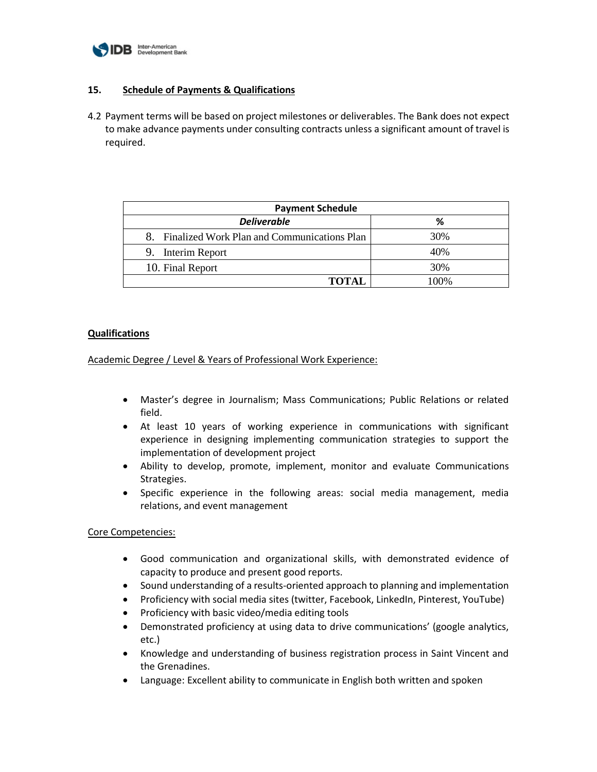

## **15. Schedule of Payments & Qualifications**

4.2 Payment terms will be based on project milestones or deliverables. The Bank does not expect to make advance payments under consulting contracts unless a significant amount of travel is required.

| <b>Payment Schedule</b>                        |        |  |  |
|------------------------------------------------|--------|--|--|
| <b>Deliverable</b>                             | %      |  |  |
| 8. Finalized Work Plan and Communications Plan | 30%    |  |  |
| Interim Report<br>9.                           | 40%    |  |  |
| 10. Final Report                               | 30%    |  |  |
| TOTAL                                          | $00\%$ |  |  |

#### **Qualifications**

Academic Degree / Level & Years of Professional Work Experience:

- Master's degree in Journalism; Mass Communications; Public Relations or related field.
- At least 10 years of working experience in communications with significant experience in designing implementing communication strategies to support the implementation of development project
- Ability to develop, promote, implement, monitor and evaluate Communications Strategies.
- Specific experience in the following areas: social media management, media relations, and event management

#### Core Competencies:

- Good communication and organizational skills, with demonstrated evidence of capacity to produce and present good reports.
- Sound understanding of a results-oriented approach to planning and implementation
- Proficiency with social media sites (twitter, Facebook, LinkedIn, Pinterest, YouTube)
- Proficiency with basic video/media editing tools
- Demonstrated proficiency at using data to drive communications' (google analytics, etc.)
- Knowledge and understanding of business registration process in Saint Vincent and the Grenadines.
- Language: Excellent ability to communicate in English both written and spoken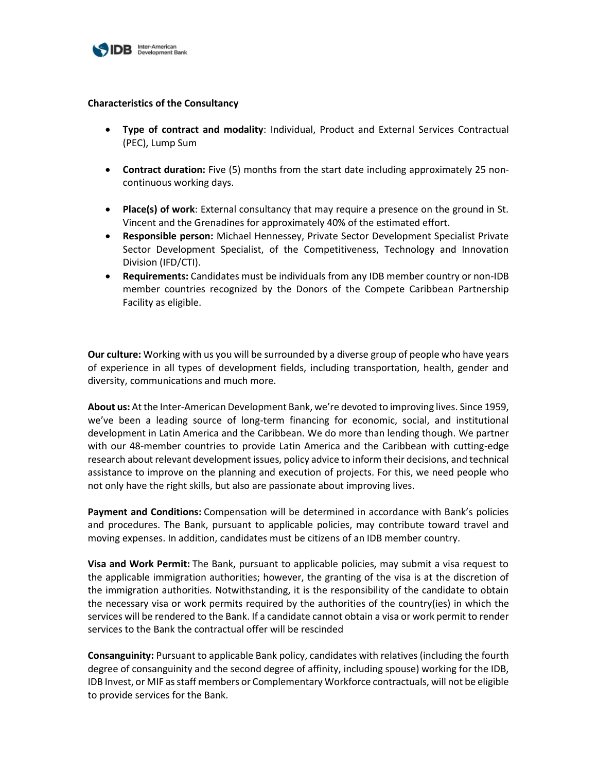

#### **Characteristics of the Consultancy**

- **Type of contract and modality**: Individual, Product and External Services Contractual (PEC), Lump Sum
- **Contract duration:** Five (5) months from the start date including approximately 25 noncontinuous working days.
- **Place(s) of work**: External consultancy that may require a presence on the ground in St. Vincent and the Grenadines for approximately 40% of the estimated effort.
- **Responsible person:** Michael Hennessey, Private Sector Development Specialist Private Sector Development Specialist, of the Competitiveness, Technology and Innovation Division (IFD/CTI).
- **Requirements:** Candidates must be individuals from any IDB member country or non-IDB member countries recognized by the Donors of the Compete Caribbean Partnership Facility as eligible.

**Our culture:** Working with us you will be surrounded by a diverse group of people who have years of experience in all types of development fields, including transportation, health, gender and diversity, communications and much more.

**About us:** At the Inter-American Development Bank, we're devoted to improving lives. Since 1959, we've been a leading source of long-term financing for economic, social, and institutional development in Latin America and the Caribbean. We do more than lending though. We partner with our 48-member countries to provide Latin America and the Caribbean with cutting-edge research about relevant development issues, policy advice to inform their decisions, and technical assistance to improve on the planning and execution of projects. For this, we need people who not only have the right skills, but also are passionate about improving lives.

**Payment and Conditions:** Compensation will be determined in accordance with Bank's policies and procedures. The Bank, pursuant to applicable policies, may contribute toward travel and moving expenses. In addition, candidates must be citizens of an IDB member country.

**Visa and Work Permit:** The Bank, pursuant to applicable policies, may submit a visa request to the applicable immigration authorities; however, the granting of the visa is at the discretion of the immigration authorities. Notwithstanding, it is the responsibility of the candidate to obtain the necessary visa or work permits required by the authorities of the country(ies) in which the services will be rendered to the Bank. If a candidate cannot obtain a visa or work permit to render services to the Bank the contractual offer will be rescinded

**Consanguinity:** Pursuant to applicable Bank policy, candidates with relatives (including the fourth degree of consanguinity and the second degree of affinity, including spouse) working for the IDB, IDB Invest, or MIF as staff members or Complementary Workforce contractuals, will not be eligible to provide services for the Bank.